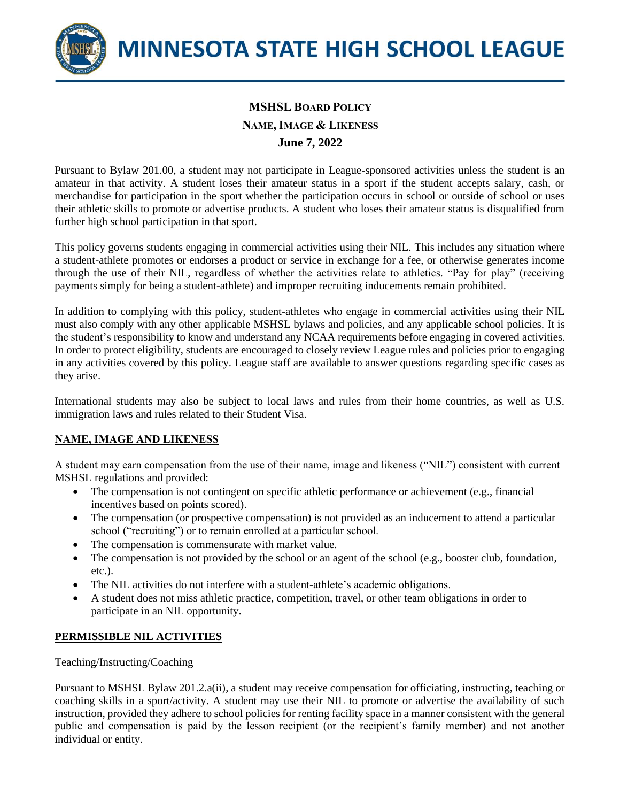

# **MSHSL BOARD POLICY NAME, IMAGE & LIKENESS June 7, 2022**

Pursuant to Bylaw 201.00, a student may not participate in League-sponsored activities unless the student is an amateur in that activity. A student loses their amateur status in a sport if the student accepts salary, cash, or merchandise for participation in the sport whether the participation occurs in school or outside of school or uses their athletic skills to promote or advertise products. A student who loses their amateur status is disqualified from further high school participation in that sport.

This policy governs students engaging in commercial activities using their NIL. This includes any situation where a student-athlete promotes or endorses a product or service in exchange for a fee, or otherwise generates income through the use of their NIL, regardless of whether the activities relate to athletics. "Pay for play" (receiving payments simply for being a student-athlete) and improper recruiting inducements remain prohibited.

In addition to complying with this policy, student-athletes who engage in commercial activities using their NIL must also comply with any other applicable MSHSL bylaws and policies, and any applicable school policies. It is the student's responsibility to know and understand any NCAA requirements before engaging in covered activities. In order to protect eligibility, students are encouraged to closely review League rules and policies prior to engaging in any activities covered by this policy. League staff are available to answer questions regarding specific cases as they arise.

International students may also be subject to local laws and rules from their home countries, as well as U.S. immigration laws and rules related to their Student Visa.

# **NAME, IMAGE AND LIKENESS**

A student may earn compensation from the use of their name, image and likeness ("NIL") consistent with current MSHSL regulations and provided:

- The compensation is not contingent on specific athletic performance or achievement (e.g., financial incentives based on points scored).
- The compensation (or prospective compensation) is not provided as an inducement to attend a particular school ("recruiting") or to remain enrolled at a particular school.
- The compensation is commensurate with market value.
- The compensation is not provided by the school or an agent of the school (e.g., booster club, foundation, etc.).
- The NIL activities do not interfere with a student-athlete's academic obligations.
- A student does not miss athletic practice, competition, travel, or other team obligations in order to participate in an NIL opportunity.

# **PERMISSIBLE NIL ACTIVITIES**

## Teaching/Instructing/Coaching

Pursuant to MSHSL Bylaw 201.2.a(ii), a student may receive compensation for officiating, instructing, teaching or coaching skills in a sport/activity. A student may use their NIL to promote or advertise the availability of such instruction, provided they adhere to school policies for renting facility space in a manner consistent with the general public and compensation is paid by the lesson recipient (or the recipient's family member) and not another individual or entity.